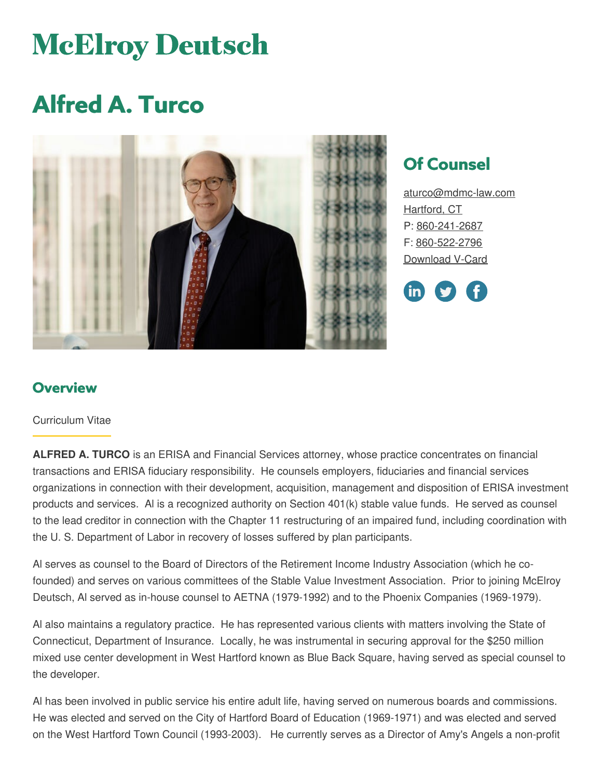# **McElroy Deutsch**

## **Alfred A. Turco**



### **Of Counsel**

[aturco@mdmc-law.com](mailto:aturco@mdmc-law.com) [Hartford,](https://www.mdmc-law.com/offices/hartford) CT P: [860-241-2687](tel:860-241-2687) F: [860-522-2796](tel:860-522-2796) [Download](https://www.mdmc-law.com/node/317/vcard) V-Card



#### **Overview**

#### Curriculum Vitae

**ALFRED A. TURCO** is an ERISA and Financial Services attorney, whose practice concentrates on financial transactions and ERISA fiduciary responsibility. He counsels employers, fiduciaries and financial services organizations in connection with their development, acquisition, management and disposition of ERISA investment products and services. Al is a recognized authority on Section 401(k) stable value funds. He served as counsel to the lead creditor in connection with the Chapter 11 restructuring of an impaired fund, including coordination with the U. S. Department of Labor in recovery of losses suffered by plan participants.

Al serves as counsel to the Board of Directors of the Retirement Income Industry Association (which he cofounded) and serves on various committees of the Stable Value Investment Association. Prior to joining McElroy Deutsch, Al served as in-house counsel to AETNA (1979-1992) and to the Phoenix Companies (1969-1979).

Al also maintains a regulatory practice. He has represented various clients with matters involving the State of Connecticut, Department of Insurance. Locally, he was instrumental in securing approval for the \$250 million mixed use center development in West Hartford known as Blue Back Square, having served as special counsel to the developer.

Al has been involved in public service his entire adult life, having served on numerous boards and commissions. He was elected and served on the City of Hartford Board of Education (1969-1971) and was elected and served on the West Hartford Town Council (1993-2003). He currently serves as a Director of Amy's Angels a non-profit